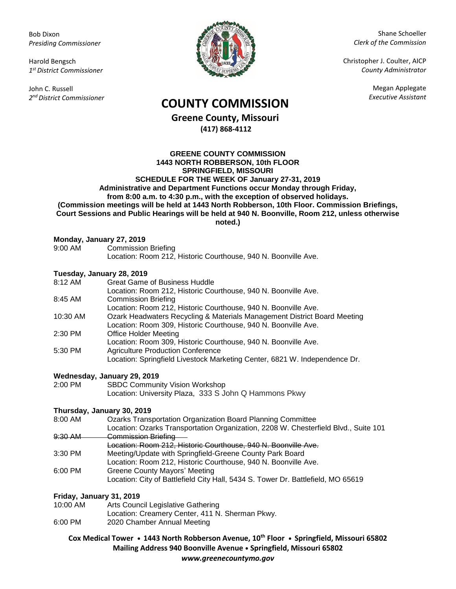Bob Dixon *Presiding Commissioner*

Harold Bengsch *1 st District Commissioner*

John C. Russell *2 nd District Commissioner*



Shane Schoeller *Clerk of the Commission*

Christopher J. Coulter, AICP *County Administrator*

Megan Applegate

# *Executive Assistant* **COUNTY COMMISSION**

**Greene County, Missouri (417) 868-4112**

#### **GREENE COUNTY COMMISSION 1443 NORTH ROBBERSON, 10th FLOOR SPRINGFIELD, MISSOURI SCHEDULE FOR THE WEEK OF January 27-31, 2019 Administrative and Department Functions occur Monday through Friday, from 8:00 a.m. to 4:30 p.m., with the exception of observed holidays. (Commission meetings will be held at 1443 North Robberson, 10th Floor. Commission Briefings, Court Sessions and Public Hearings will be held at 940 N. Boonville, Room 212, unless otherwise noted.)**

### **Monday, January 27, 2019**

| 9:00 AM | <b>Commission Briefing</b>                                     |
|---------|----------------------------------------------------------------|
|         | Location: Room 212, Historic Courthouse, 940 N. Boonville Ave. |

### **Tuesday, January 28, 2019**

|          | Tucsuay, bandary 20, 2019                                                  |
|----------|----------------------------------------------------------------------------|
| 8:12 AM  | <b>Great Game of Business Huddle</b>                                       |
|          | Location: Room 212, Historic Courthouse, 940 N. Boonville Ave.             |
| 8:45 AM  | <b>Commission Briefing</b>                                                 |
|          | Location: Room 212, Historic Courthouse, 940 N. Boonville Ave.             |
| 10:30 AM | Ozark Headwaters Recycling & Materials Management District Board Meeting   |
|          | Location: Room 309, Historic Courthouse, 940 N. Boonville Ave.             |
| 2:30 PM  | <b>Office Holder Meeting</b>                                               |
|          | Location: Room 309, Historic Courthouse, 940 N. Boonville Ave.             |
| 5:30 PM  | <b>Agriculture Production Conference</b>                                   |
|          | Location: Springfield Livestock Marketing Center, 6821 W. Independence Dr. |
|          |                                                                            |

### **Wednesday, January 29, 2019**

| 2:00 PM | <b>SBDC Community Vision Workshop</b>                 |
|---------|-------------------------------------------------------|
|         | Location: University Plaza, 333 S John Q Hammons Pkwy |

## **Thursday, January 30, 2019**

- 8:00 AM Ozarks Transportation Organization Board Planning Committee Location: Ozarks Transportation Organization, 2208 W. Chesterfield Blvd., Suite 101 9:30 AM Commission Briefing Location: Room 212, Historic Courthouse, 940 N. Boonville Ave.
- 3:30 PM Meeting/Update with Springfield-Greene County Park Board
- Location: Room 212, Historic Courthouse, 940 N. Boonville Ave. 6:00 PM Greene County Mayors' Meeting Location: City of Battlefield City Hall, 5434 S. Tower Dr. Battlefield, MO 65619

### **Friday, January 31, 2019**

- 10:00 AM Arts Council Legislative Gathering
- Location: Creamery Center, 411 N. Sherman Pkwy.
- 6:00 PM 2020 Chamber Annual Meeting

**Cox Medical Tower • 1443 North Robberson Avenue, 10th Floor • Springfield, Missouri 65802 Mailing Address 940 Boonville Avenue • Springfield, Missouri 65802** *www.greenecountymo.gov*